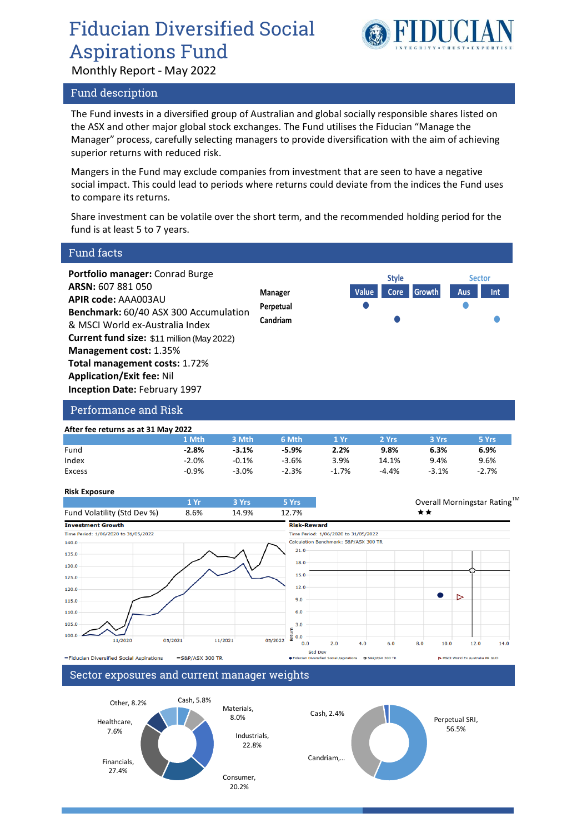## Fiducian Diversified Social Aspirations Fund

Monthly Report - May 2022

### Fund description



The Fund invests in a diversified group of Australian and global socially responsible shares listed on the ASX and other major global stock exchanges. The Fund utilises the Fiducian "Manage the Manager" process, carefully selecting managers to provide diversification with the aim of achieving superior returns with reduced risk.

Mangers in the Fund may exclude companies from investment that are seen to have a negative social impact. This could lead to periods where returns could deviate from the indices the Fund uses to compare its returns.

Share investment can be volatile over the short term, and the recommended holding period for the fund is at least 5 to 7 years.

| Fund facts                                                                                                                                                                                                                                                                                                                                                                      |                                  |                                                |                             |
|---------------------------------------------------------------------------------------------------------------------------------------------------------------------------------------------------------------------------------------------------------------------------------------------------------------------------------------------------------------------------------|----------------------------------|------------------------------------------------|-----------------------------|
| <b>Portfolio manager: Conrad Burge</b><br>ARSN: 607 881 050<br><b>APIR code: AAA003AU</b><br>Benchmark: 60/40 ASX 300 Accumulation<br>& MSCL World ex-Australia Index<br><b>Current fund size: \$11 million (May 2022)</b><br><b>Management cost: 1.35%</b><br><b>Total management costs: 1.72%</b><br><b>Application/Exit fee: Nil</b><br><b>Inception Date: February 1997</b> | Manager<br>Perpetual<br>Candriam | <b>Style</b><br>Value<br><b>Growth</b><br>Core | <b>Sector</b><br>Int<br>Aus |
| Performance and Risk                                                                                                                                                                                                                                                                                                                                                            |                                  |                                                |                             |

| After fee returns as at 31 May 2022 |         |         |         |         |         |         |         |
|-------------------------------------|---------|---------|---------|---------|---------|---------|---------|
|                                     | 1 Mth   | 3 Mth   | 6 Mth   | 1 Yr    | 2 Yrs   | 3 Yrs   | 5 Yrs   |
| Fund                                | $-2.8%$ | $-3.1%$ | $-5.9%$ | 2.2%    | 9.8%    | 6.3%    | 6.9%    |
| Index                               | $-2.0%$ | $-0.1%$ | $-3.6%$ | 3.9%    | 14.1%   | 9.4%    | 9.6%    |
| Excess                              | $-0.9%$ | $-3.0%$ | $-2.3%$ | $-1.7%$ | $-4.4%$ | $-3.1%$ | $-2.7%$ |





Sector exposures and current manager weights